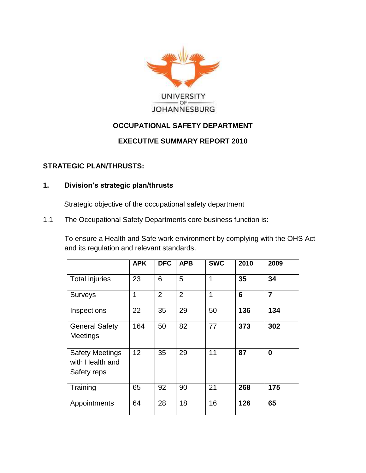

# **OCCUPATIONAL SAFETY DEPARTMENT**

### **EXECUTIVE SUMMARY REPORT 2010**

#### **STRATEGIC PLAN/THRUSTS:**

#### **1. Division's strategic plan/thrusts**

Strategic objective of the occupational safety department

1.1 The Occupational Safety Departments core business function is:

To ensure a Health and Safe work environment by complying with the OHS Act and its regulation and relevant standards.

|                                                          | <b>APK</b>      | <b>DFC</b>     | <b>APB</b>     | <b>SWC</b> | 2010 | 2009           |
|----------------------------------------------------------|-----------------|----------------|----------------|------------|------|----------------|
| Total injuries                                           | 23              | 6              | 5              | 1          | 35   | 34             |
| <b>Surveys</b>                                           | 1               | $\overline{2}$ | $\overline{2}$ | 1          | 6    | $\overline{7}$ |
| Inspections                                              | 22              | 35             | 29             | 50         | 136  | 134            |
| <b>General Safety</b><br><b>Meetings</b>                 | 164             | 50             | 82             | 77         | 373  | 302            |
| <b>Safety Meetings</b><br>with Health and<br>Safety reps | 12 <sup>2</sup> | 35             | 29             | 11         | 87   | $\bf{0}$       |
| Training                                                 | 65              | 92             | 90             | 21         | 268  | 175            |
| Appointments                                             | 64              | 28             | 18             | 16         | 126  | 65             |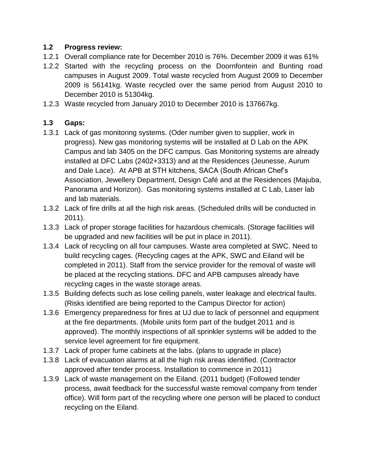## **1.2 Progress review:**

- 1.2.1 Overall compliance rate for December 2010 is 76%. December 2009 it was 61%
- 1.2.2 Started with the recycling process on the Doornfontein and Bunting road campuses in August 2009. Total waste recycled from August 2009 to December 2009 is 56141kg. Waste recycled over the same period from August 2010 to December 2010 is 51304kg.
- 1.2.3 Waste recycled from January 2010 to December 2010 is 137667kg.

# **1.3 Gaps:**

- 1.3.1 Lack of gas monitoring systems. (Oder number given to supplier, work in progress). New gas monitoring systems will be installed at D Lab on the APK Campus and lab 3405 on the DFC campus. Gas Monitoring systems are already installed at DFC Labs (2402+3313) and at the Residences (Jeunesse, Aurum and Dale Lace). At APB at STH kitchens, SACA (South African Chef's Association, Jewellery Department, Design Café and at the Residences (Majuba, Panorama and Horizon). Gas monitoring systems installed at C Lab, Laser lab and lab materials.
- 1.3.2 Lack of fire drills at all the high risk areas. (Scheduled drills will be conducted in 2011).
- 1.3.3 Lack of proper storage facilities for hazardous chemicals. (Storage facilities will be upgraded and new facilities will be put in place in 2011).
- 1.3.4 Lack of recycling on all four campuses. Waste area completed at SWC. Need to build recycling cages. (Recycling cages at the APK, SWC and Eiland will be completed in 2011). Staff from the service provider for the removal of waste will be placed at the recycling stations. DFC and APB campuses already have recycling cages in the waste storage areas.
- 1.3.5 Building defects such as lose ceiling panels, water leakage and electrical faults. (Risks identified are being reported to the Campus Director for action)
- 1.3.6 Emergency preparedness for fires at UJ due to lack of personnel and equipment at the fire departments. (Mobile units form part of the budget 2011 and is approved). The monthly inspections of all sprinkler systems will be added to the service level agreement for fire equipment.
- 1.3.7 Lack of proper fume cabinets at the labs. (plans to upgrade in place)
- 1.3.8 Lack of evacuation alarms at all the high risk areas identified. (Contractor approved after tender process. Installation to commence in 2011)
- 1.3.9 Lack of waste management on the Eiland. (2011 budget) (Followed tender process, await feedback for the successful waste removal company from tender office). Will form part of the recycling where one person will be placed to conduct recycling on the Eiland.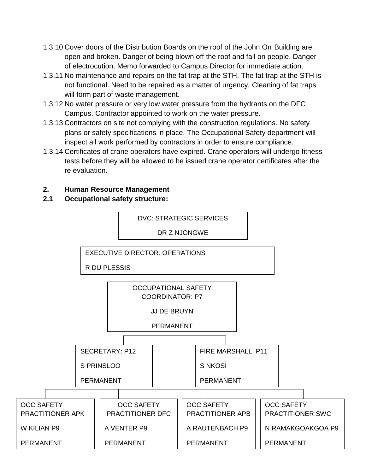- 1.3.10 Cover doors of the Distribution Boards on the roof of the John Orr Building are open and broken. Danger of being blown off the roof and fall on people. Danger of electrocution. Memo forwarded to Campus Director for immediate action.
- 1.3.11 No maintenance and repairs on the fat trap at the STH. The fat trap at the STH is not functional. Need to be repaired as a matter of urgency. Cleaning of fat traps will form part of waste management.
- 1.3.12 No water pressure or very low water pressure from the hydrants on the DFC Campus. Contractor appointed to work on the water pressure.
- 1.3.13 Contractors on site not complying with the construction regulations. No safety plans or safety specifications in place. The Occupational Safety department will inspect all work performed by contractors in order to ensure compliance.
- 1.3.14 Certificates of crane operators have expired. Crane operators will undergo fitness tests before they will be allowed to be issued crane operator certificates after the re evaluation.

# **2. Human Resource Management**

# **2.1 Occupational safety structure:**

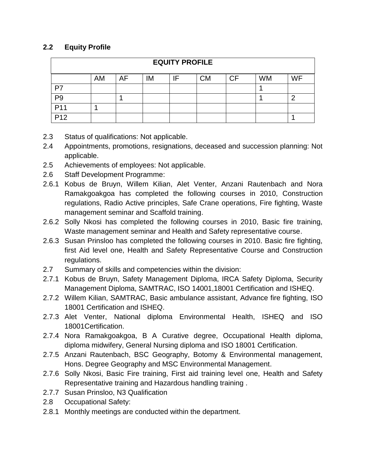# **2.2 Equity Profile**

| <b>EQUITY PROFILE</b> |    |    |    |    |           |           |           |           |
|-----------------------|----|----|----|----|-----------|-----------|-----------|-----------|
|                       | AM | AF | IM | IF | <b>CM</b> | <b>CF</b> | <b>WM</b> | <b>WF</b> |
| P7                    |    |    |    |    |           |           |           |           |
| P <sub>9</sub>        |    |    |    |    |           |           |           | 2         |
| P <sub>11</sub>       |    |    |    |    |           |           |           |           |
| P <sub>12</sub>       |    |    |    |    |           |           |           |           |

- 2.3 Status of qualifications: Not applicable.
- 2.4 Appointments, promotions, resignations, deceased and succession planning: Not applicable.
- 2.5 Achievements of employees: Not applicable.
- 2.6 Staff Development Programme:
- 2.6.1 Kobus de Bruyn, Willem Kilian, Alet Venter, Anzani Rautenbach and Nora Ramakgoakgoa has completed the following courses in 2010, Construction regulations, Radio Active principles, Safe Crane operations, Fire fighting, Waste management seminar and Scaffold training.
- 2.6.2 Solly Nkosi has completed the following courses in 2010, Basic fire training, Waste management seminar and Health and Safety representative course.
- 2.6.3 Susan Prinsloo has completed the following courses in 2010. Basic fire fighting, first Aid level one, Health and Safety Representative Course and Construction regulations.
- 2.7 Summary of skills and competencies within the division:
- 2.7.1 Kobus de Bruyn, Safety Management Diploma, IRCA Safety Diploma, Security Management Diploma, SAMTRAC, ISO 14001,18001 Certification and ISHEQ.
- 2.7.2 Willem Kilian, SAMTRAC, Basic ambulance assistant, Advance fire fighting, ISO 18001 Certification and ISHEQ.
- 2.7.3 Alet Venter, National diploma Environmental Health, ISHEQ and ISO 18001Certification.
- 2.7.4 Nora Ramakgoakgoa, B A Curative degree, Occupational Health diploma, diploma midwifery, General Nursing diploma and ISO 18001 Certification.
- 2.7.5 Anzani Rautenbach, BSC Geography, Botomy & Environmental management, Hons. Degree Geography and MSC Environmental Management.
- 2.7.6 Solly Nkosi, Basic Fire training, First aid training level one, Health and Safety Representative training and Hazardous handling training .
- 2.7.7 Susan Prinsloo, N3 Qualification
- 2.8 Occupational Safety:
- 2.8.1 Monthly meetings are conducted within the department.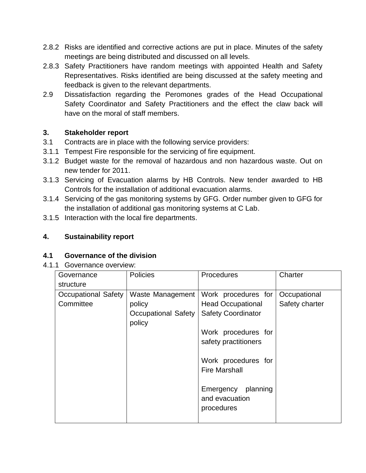- 2.8.2 Risks are identified and corrective actions are put in place. Minutes of the safety meetings are being distributed and discussed on all levels.
- 2.8.3 Safety Practitioners have random meetings with appointed Health and Safety Representatives. Risks identified are being discussed at the safety meeting and feedback is given to the relevant departments.
- 2.9 Dissatisfaction regarding the Peromones grades of the Head Occupational Safety Coordinator and Safety Practitioners and the effect the claw back will have on the moral of staff members.

### **3. Stakeholder report**

- 3.1 Contracts are in place with the following service providers:
- 3.1.1 Tempest Fire responsible for the servicing of fire equipment.
- 3.1.2 Budget waste for the removal of hazardous and non hazardous waste. Out on new tender for 2011.
- 3.1.3 Servicing of Evacuation alarms by HB Controls. New tender awarded to HB Controls for the installation of additional evacuation alarms.
- 3.1.4 Servicing of the gas monitoring systems by GFG. Order number given to GFG for the installation of additional gas monitoring systems at C Lab.
- 3.1.5 Interaction with the local fire departments.

## **4. Sustainability report**

#### **4.1 Governance of the division**

#### 4.1.1 Governance overview:

| Governance<br>structure                 | <b>Policies</b>                                                    | Procedures                                                                                                                                                                                                                       | Charter                        |
|-----------------------------------------|--------------------------------------------------------------------|----------------------------------------------------------------------------------------------------------------------------------------------------------------------------------------------------------------------------------|--------------------------------|
| <b>Occupational Safety</b><br>Committee | Waste Management<br>policy<br><b>Occupational Safety</b><br>policy | Work procedures for<br><b>Head Occupational</b><br><b>Safety Coordinator</b><br>Work procedures for<br>safety practitioners<br>Work procedures for<br><b>Fire Marshall</b><br>Emergency planning<br>and evacuation<br>procedures | Occupational<br>Safety charter |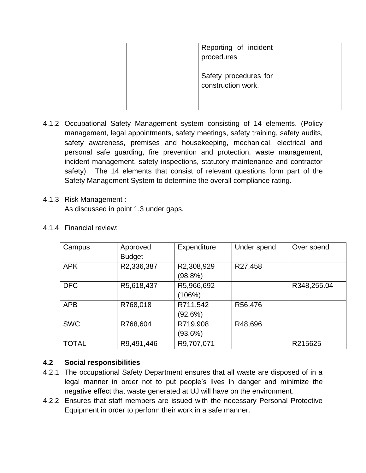| procedures         | Reporting of incident |
|--------------------|-----------------------|
| construction work. | Safety procedures for |

- 4.1.2 Occupational Safety Management system consisting of 14 elements. (Policy management, legal appointments, safety meetings, safety training, safety audits, safety awareness, premises and housekeeping, mechanical, electrical and personal safe guarding, fire prevention and protection, waste management, incident management, safety inspections, statutory maintenance and contractor safety). The 14 elements that consist of relevant questions form part of the Safety Management System to determine the overall compliance rating.
- 4.1.3 Risk Management : As discussed in point 1.3 under gaps.

| Campus       | Approved<br><b>Budget</b> | Expenditure           | Under spend | Over spend  |
|--------------|---------------------------|-----------------------|-------------|-------------|
| <b>APK</b>   | R2,336,387                | R2,308,929<br>(98.8%) | R27,458     |             |
| <b>DFC</b>   | R5,618,437                | R5,966,692<br>(106%)  |             | R348,255.04 |
| <b>APB</b>   | R768,018                  | R711,542<br>(92.6%)   | R56,476     |             |
| <b>SWC</b>   | R768,604                  | R719,908<br>(93.6%)   | R48,696     |             |
| <b>TOTAL</b> | R9,491,446                | R9,707,071            |             | R215625     |

4.1.4 Financial review:

# **4.2 Social responsibilities**

- 4.2.1 The occupational Safety Department ensures that all waste are disposed of in a legal manner in order not to put people's lives in danger and minimize the negative effect that waste generated at UJ will have on the environment.
- 4.2.2 Ensures that staff members are issued with the necessary Personal Protective Equipment in order to perform their work in a safe manner.